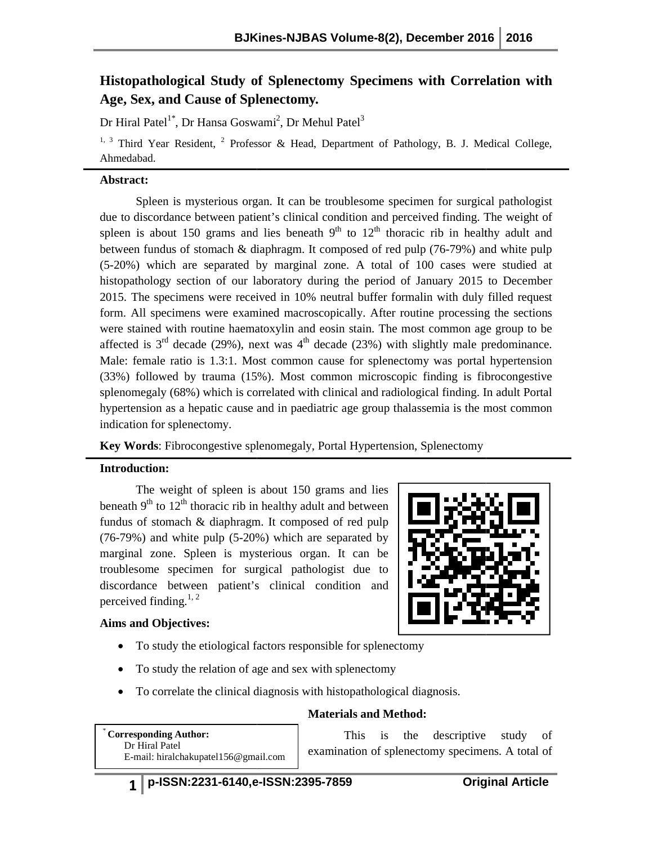# Histopathological Study of Splenectomy Specimens with Correlation with Age, Sex, and Cause of Splenectomy.

Dr Hiral Patel $^{1^*}$ , Dr Hansa Goswami $^2$ , Dr Mehul Patel $^3$ 

<sup>1, 3</sup> Third Year Resident, <sup>2</sup> Professor & Head, Department of Pathology, B. J. Medical College, Ahmedabad.

## **Abstract:**

Spleen is mysterious organ. It can be troublesome specimen for surgical pathologist due to discordance between patient's clinical condition and perceived finding. The weight of Spleen is mysterious organ. It can be troublesome specimen for surgical pathologist<br>due to discordance between patient's clinical condition and perceived finding. The weight of<br>spleen is about 150 grams and lies beneath between fundus of stomach & diaphragm. It composed of red pulp (76-79%) and white pulp (5-20%) which are separated by marginal zone. A total of 100 cases were studied at histopathology section of our laboratory during the period of January 2015 to December 2015. The specimens were received in 10% neutral buffer formalin with duly filled request form. All specimens were examined macroscopically. After routine processing the sections were stained with routine haematoxylin and eosin stain. The most common age group to be (5-20%) which are separated by marginal zone. A total of 100 cases were studied at histopathology section of our laboratory during the period of January 2015 to December 2015. The specimens were received in 10% neutral bu Male: female ratio is 1.3:1. Most common cause for splenectomy was portal hypertension (33%) followed by trauma (15%). Most common microscopic finding is fibrocongestive Male: female ratio is 1.3:1. Most common cause for splenectomy was portal hypertension (33%) followed by trauma (15%). Most common microscopic finding is fibrocongestive splenomegaly (68%) which is correlated with clinical hypertension as a hepatic cause and in paediatric age group thalassemia is the most common indication for splenectomy. **Example 19. Consider the Constrainer Constrainer and Metal College.**<br> **Examine the constrainer of Pathology, B. J. Medical College.**<br> **Examine to Franchise Specify and Metal of the consideration and perceived finding.** Spleen to mysterial on the troubles<br>one parameter for surgical properties of the condition and perceived finding. The<br>spleen is about 150 grams and lies beneath  $9^{\text{th}}$  to  $12^{\text{th}}$  theractic rib in healthy<br>between fun

#### **Introduction:**

**Key Words:** Fibrocongestive splenomegaly, Portal Hypertension, Splenectomy<br> **Introduction:**<br>
The weight of spleen is about 150 grams and lies<br>
beneath 9<sup>th</sup> to 12<sup>th</sup> thoracic rib in healthy adult and between<br>
fundus of s The weight of spleen is about 150 grams and lies beneath  $9<sup>th</sup>$  to  $12<sup>th</sup>$  thoracic rib in healthy adult and between fundus of stomach & diaphragm. It composed of red pulp (76-79%) and white pulp (5-20%) which are separated by marginal zone. Spleen is mysterious organ. It can be troublesome specimen for surgical pathologist due discordance between patient's clinical condition and perceived finding.<sup>1, 2</sup> 20%) which are separated by<br>mysterious organ. It can be<br>surgical pathologist due to

## **Aims and Objectives:**

- To study the etiological factors responsible for splenectomy
- To study the relation of age and sex with splenectomy
- To study the relation of age and sex with splenectomy<br>• To correlate the clinical diagnosis with histopathological diagnosis.

#### **Materials and Method:**

\* **Corresponding Author:**  Dr Hiral Patel E-mail: hiralchakupatel156@gmail.com This is the descriptive study of

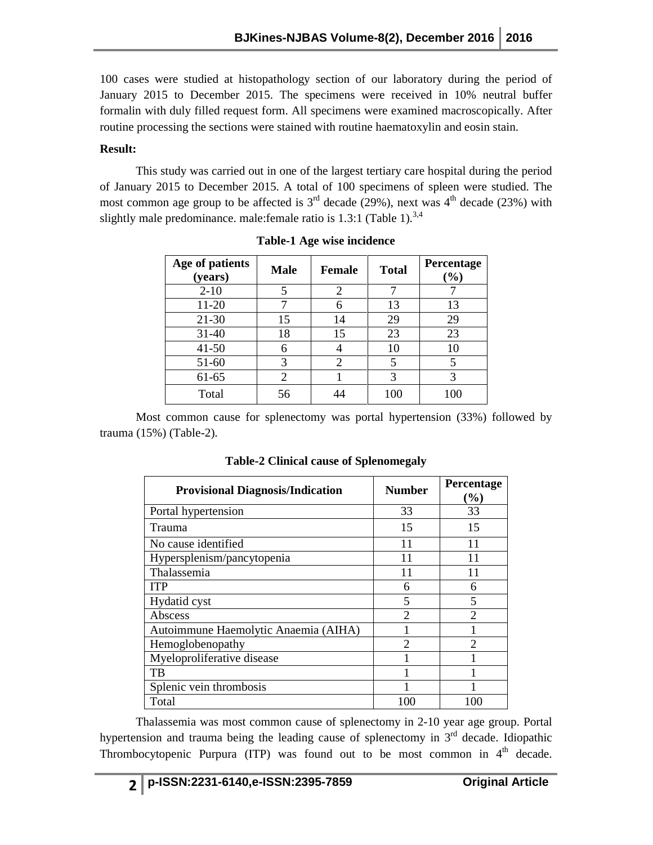100 cases were studied at histopathology section of our laboratory during the period of January 2015 to December 2015. The specimens were received in 10% neutral buffer formalin with duly filled request form. All specimens were examined macroscopically. After routine processing the sections were stained with routine haematoxylin and eosin stain.

## **Result:**

This study was carried out in one of the largest tertiary care hospital during the period of January 2015 to December 2015. A total of 100 specimens of spleen were studied. The most common age group to be affected is  $3<sup>rd</sup>$  decade (29%), next was  $4<sup>th</sup>$  decade (23%) with slightly male predominance. male:female ratio is 1.3:1 (Table 1).<sup>3,4</sup>

| Age of patients<br>(years) | <b>Male</b>    | <b>Female</b>  | <b>Total</b> | Percentage<br>$\mathcal{O}_0$ |
|----------------------------|----------------|----------------|--------------|-------------------------------|
| $2 - 10$                   | 5              | $\overline{2}$ |              |                               |
| 11-20                      |                | 6              | 13           | 13                            |
| $21 - 30$                  | 15             | 14             | 29           | 29                            |
| $31 - 40$                  | 18             | 15             | 23           | 23                            |
| $41 - 50$                  | 6              |                | 10           | 10                            |
| 51-60                      | 3              | $\mathfrak{D}$ | 5            | 5                             |
| 61-65                      | $\mathfrak{D}$ |                | 3            | 3                             |
| Total                      | 56             |                | 100          | 100                           |

**Table-1 Age wise incidence** 

Most common cause for splenectomy was portal hypertension (33%) followed by trauma (15%) (Table-2).

| <b>Provisional Diagnosis/Indication</b> | <b>Number</b>  | <b>Percentage</b><br>(%) |
|-----------------------------------------|----------------|--------------------------|
| Portal hypertension                     | 33             | 33                       |
| Trauma                                  | 15             | 15                       |
| No cause identified                     | 11             | 11                       |
| Hypersplenism/pancytopenia              | 11             | 11                       |
| Thalassemia                             |                | 11                       |
| <b>ITP</b>                              | 6              | 6                        |
| Hydatid cyst                            | 5              | 5                        |
| Abscess                                 | $\mathfrak{D}$ | っ                        |
| Autoimmune Haemolytic Anaemia (AIHA)    |                |                          |
| Hemoglobenopathy                        | $\mathcal{D}$  | 2                        |
| Myeloproliferative disease              |                |                          |
| TB                                      |                |                          |
| Splenic vein thrombosis                 |                |                          |
| Total                                   | 100            |                          |

**Table-2 Clinical cause of Splenomegaly** 

Thalassemia was most common cause of splenectomy in 2-10 year age group. Portal hypertension and trauma being the leading cause of splenectomy in  $3<sup>rd</sup>$  decade. Idiopathic Thrombocytopenic Purpura (ITP) was found out to be most common in  $4<sup>th</sup>$  decade.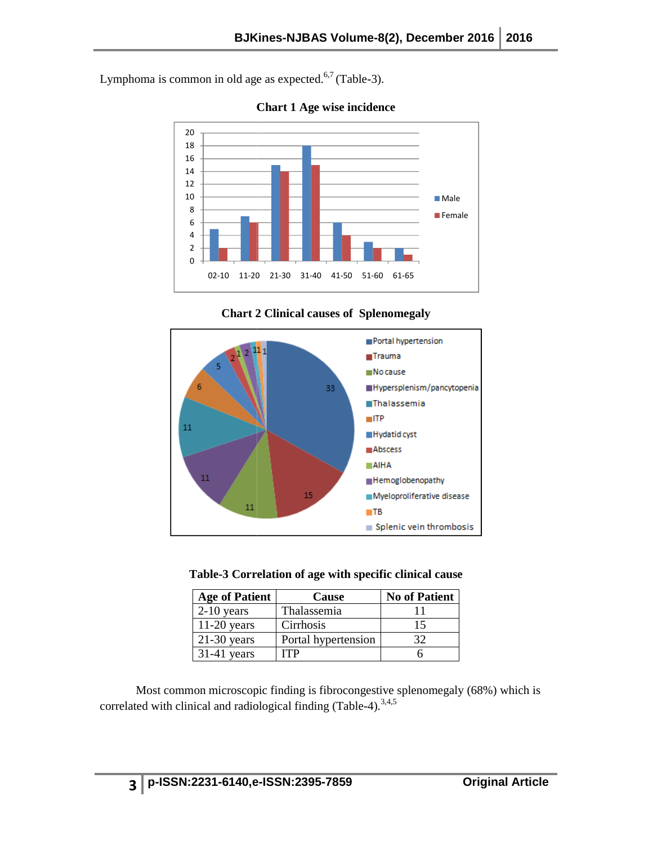Lymphoma is common in old age as expected. $6,7$  (Table-3).



**Chart 1 Age wise incidence** 





|  | Table-3 Correlation of age with specific clinical cause |  |  |  |  |  |
|--|---------------------------------------------------------|--|--|--|--|--|
|--|---------------------------------------------------------|--|--|--|--|--|

| <b>Age of Patient</b> | Cause               | <b>No of Patient</b> |
|-----------------------|---------------------|----------------------|
| $2-10$ years          | Thalassemia         |                      |
| $11-20$ years         | Cirrhosis           | 15                   |
| $21-30$ years         | Portal hypertension | 32                   |
| $31-41$ years         | ITP                 |                      |

Most common microscopic finding is fibrocongestive splenomegaly (68%) which is correlated with clinical and radiological finding (Table-4).<sup>3,4,5</sup>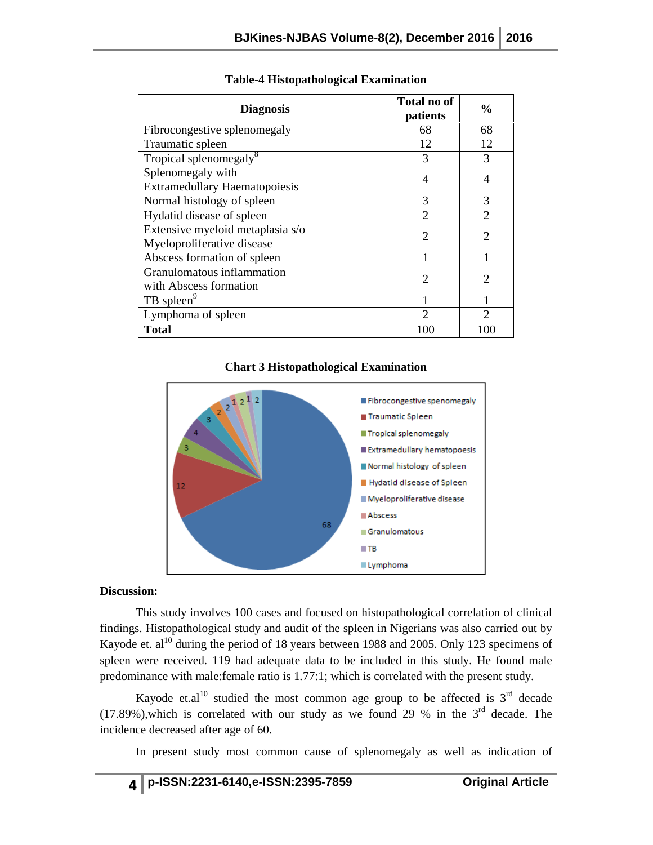| <b>Diagnosis</b>                                                                                                                                                                                                                                                                                                                                                                                                                                                                                                                                                                                                                                          |  | Total no of<br>patients                                                                                                                                                                                                                                     | $\frac{0}{0}$  |  |  |
|-----------------------------------------------------------------------------------------------------------------------------------------------------------------------------------------------------------------------------------------------------------------------------------------------------------------------------------------------------------------------------------------------------------------------------------------------------------------------------------------------------------------------------------------------------------------------------------------------------------------------------------------------------------|--|-------------------------------------------------------------------------------------------------------------------------------------------------------------------------------------------------------------------------------------------------------------|----------------|--|--|
| Fibrocongestive splenomegaly                                                                                                                                                                                                                                                                                                                                                                                                                                                                                                                                                                                                                              |  | 68                                                                                                                                                                                                                                                          | 68             |  |  |
| Traumatic spleen                                                                                                                                                                                                                                                                                                                                                                                                                                                                                                                                                                                                                                          |  | 12                                                                                                                                                                                                                                                          | 12             |  |  |
| Tropical splenomegaly <sup>8</sup>                                                                                                                                                                                                                                                                                                                                                                                                                                                                                                                                                                                                                        |  | 3                                                                                                                                                                                                                                                           | 3              |  |  |
| Splenomegaly with<br><b>Extramedullary Haematopoiesis</b>                                                                                                                                                                                                                                                                                                                                                                                                                                                                                                                                                                                                 |  | $\overline{4}$                                                                                                                                                                                                                                              | 4              |  |  |
| Normal histology of spleen                                                                                                                                                                                                                                                                                                                                                                                                                                                                                                                                                                                                                                |  | 3                                                                                                                                                                                                                                                           | 3              |  |  |
| Hydatid disease of spleen                                                                                                                                                                                                                                                                                                                                                                                                                                                                                                                                                                                                                                 |  | $\overline{2}$                                                                                                                                                                                                                                              | $\overline{2}$ |  |  |
| Extensive myeloid metaplasia s/o                                                                                                                                                                                                                                                                                                                                                                                                                                                                                                                                                                                                                          |  | $\overline{2}$                                                                                                                                                                                                                                              | $\overline{2}$ |  |  |
| Myeloproliferative disease                                                                                                                                                                                                                                                                                                                                                                                                                                                                                                                                                                                                                                |  |                                                                                                                                                                                                                                                             |                |  |  |
| Abscess formation of spleen                                                                                                                                                                                                                                                                                                                                                                                                                                                                                                                                                                                                                               |  | 1                                                                                                                                                                                                                                                           | 1              |  |  |
| Granulomatous inflammation<br>with Abscess formation                                                                                                                                                                                                                                                                                                                                                                                                                                                                                                                                                                                                      |  | $\overline{2}$                                                                                                                                                                                                                                              | 2              |  |  |
| TB spleen <sup>9</sup>                                                                                                                                                                                                                                                                                                                                                                                                                                                                                                                                                                                                                                    |  | 1                                                                                                                                                                                                                                                           | 1              |  |  |
| Lymphoma of spleen                                                                                                                                                                                                                                                                                                                                                                                                                                                                                                                                                                                                                                        |  | $\overline{2}$                                                                                                                                                                                                                                              | $\overline{2}$ |  |  |
| <b>Total</b>                                                                                                                                                                                                                                                                                                                                                                                                                                                                                                                                                                                                                                              |  | 100                                                                                                                                                                                                                                                         | 100            |  |  |
| $2^{2^{12^{12}}}$<br>3<br>4<br>з<br>12<br>68                                                                                                                                                                                                                                                                                                                                                                                                                                                                                                                                                                                                              |  | Fibrocongestive spenomegaly<br>Traumatic Spleen<br>■ Tropical splenomegaly<br>Extramedullary hematopoesis<br>Normal histology of spleen<br>Hydatid disease of Spleen<br>■ Myeloproliferative disease<br>Abscess<br>Granulomatous<br>— тв<br><b>Lymphoma</b> |                |  |  |
| ion:<br>This study involves 100 cases and focused on histopathological correlation of<br>3. Histopathological study and audit of the spleen in Nigerians was also carried<br>et. al <sup>10</sup> during the period of 18 years between 1988 and 2005. Only 123 specin<br>were received. 119 had adequate data to be included in this study. He foun<br>inance with male: female ratio is 1.77:1; which is correlated with the present stu<br>Kayode et.al <sup>10</sup> studied the most common age group to be affected is $3^{rd}$<br>b), which is correlated with our study as we found 29 % in the $3^{rd}$ decades<br>ce decreased after age of 60. |  |                                                                                                                                                                                                                                                             |                |  |  |
| In present study most common cause of splenomegaly as well as indica                                                                                                                                                                                                                                                                                                                                                                                                                                                                                                                                                                                      |  |                                                                                                                                                                                                                                                             |                |  |  |

## **Table--4 Histopathological Examination**

#### **Chart 3 Histopathological Examination**



#### **Discussion:**

This study involves 100 cases and focused on histopathological correlation of clinical findings. Histopathological study and audit of the spleen in Nigerians was also carried out by Kayode et. al<sup>10</sup> during the period of 18 years between 1988 and 2005. Only 123 specimens of spleen were received. 119 had adequate data to be included in this study. He found male predominance with male: female ratio is 1.77:1; which is correlated with the present study. This study involves 100 cases and focused on histopathological correlation of clinical<br>s. Histopathological study and audit of the spleen in Nigerians was also carried out by<br>et. al<sup>10</sup> during the period of 18 years betwe

Kayode et.al<sup>10</sup> studied the most common age group to be affected is  $3<sup>rd</sup>$  decade predominance with male:female ratio is 1.77:1; which is correlated with the present study.<br>
Kayode et.al<sup>10</sup> studied the most common age group to be affected is  $3^{\text{rd}}$  decade<br>
(17.89%),which is correlated with our stud incidence decreased after age of 60.

In present study most common cause of splenomegaly as well as indication of